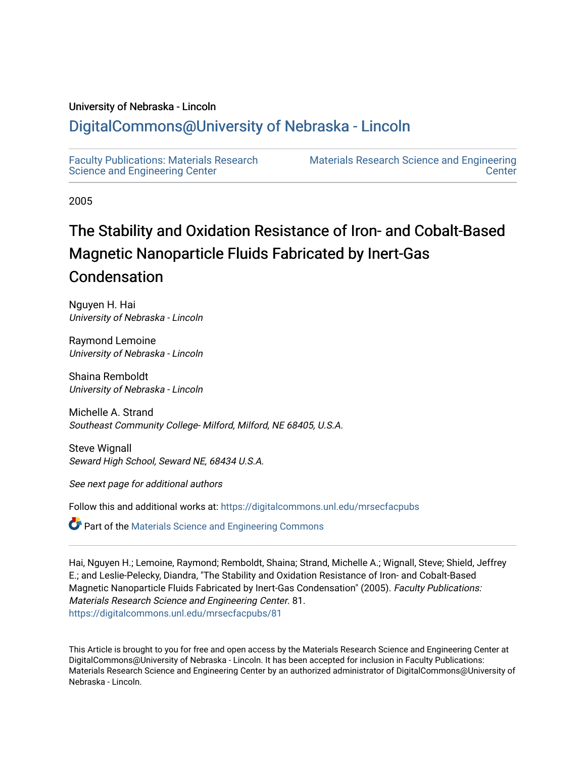#### University of Nebraska - Lincoln

# [DigitalCommons@University of Nebraska - Lincoln](https://digitalcommons.unl.edu/)

[Faculty Publications: Materials Research](https://digitalcommons.unl.edu/mrsecfacpubs)  [Science and Engineering Center](https://digitalcommons.unl.edu/mrsecfacpubs) 

[Materials Research Science and Engineering](https://digitalcommons.unl.edu/materialsresearchscieeng)  **Center** 

2005

# The Stability and Oxidation Resistance of Iron- and Cobalt-Based Magnetic Nanoparticle Fluids Fabricated by Inert-Gas Condensation

Nguyen H. Hai University of Nebraska - Lincoln

Raymond Lemoine University of Nebraska - Lincoln

Shaina Remboldt University of Nebraska - Lincoln

Michelle A. Strand Southeast Community College- Milford, Milford, NE 68405, U.S.A.

Steve Wignall Seward High School, Seward NE, 68434 U.S.A.

See next page for additional authors

Follow this and additional works at: [https://digitalcommons.unl.edu/mrsecfacpubs](https://digitalcommons.unl.edu/mrsecfacpubs?utm_source=digitalcommons.unl.edu%2Fmrsecfacpubs%2F81&utm_medium=PDF&utm_campaign=PDFCoverPages) 

**C** Part of the Materials Science and Engineering Commons

Hai, Nguyen H.; Lemoine, Raymond; Remboldt, Shaina; Strand, Michelle A.; Wignall, Steve; Shield, Jeffrey E.; and Leslie-Pelecky, Diandra, "The Stability and Oxidation Resistance of Iron- and Cobalt-Based Magnetic Nanoparticle Fluids Fabricated by Inert-Gas Condensation" (2005). Faculty Publications: Materials Research Science and Engineering Center. 81. [https://digitalcommons.unl.edu/mrsecfacpubs/81](https://digitalcommons.unl.edu/mrsecfacpubs/81?utm_source=digitalcommons.unl.edu%2Fmrsecfacpubs%2F81&utm_medium=PDF&utm_campaign=PDFCoverPages) 

This Article is brought to you for free and open access by the Materials Research Science and Engineering Center at DigitalCommons@University of Nebraska - Lincoln. It has been accepted for inclusion in Faculty Publications: Materials Research Science and Engineering Center by an authorized administrator of DigitalCommons@University of Nebraska - Lincoln.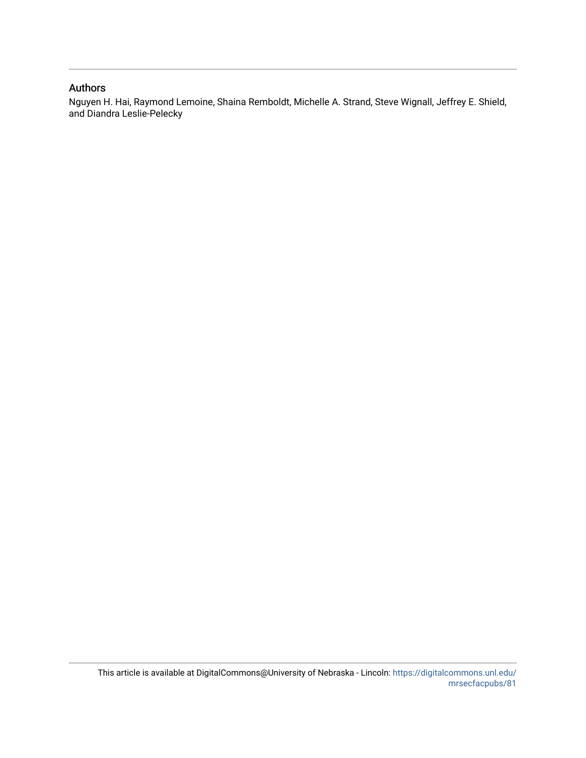#### Authors

Nguyen H. Hai, Raymond Lemoine, Shaina Remboldt, Michelle A. Strand, Steve Wignall, Jeffrey E. Shield, and Diandra Leslie-Pelecky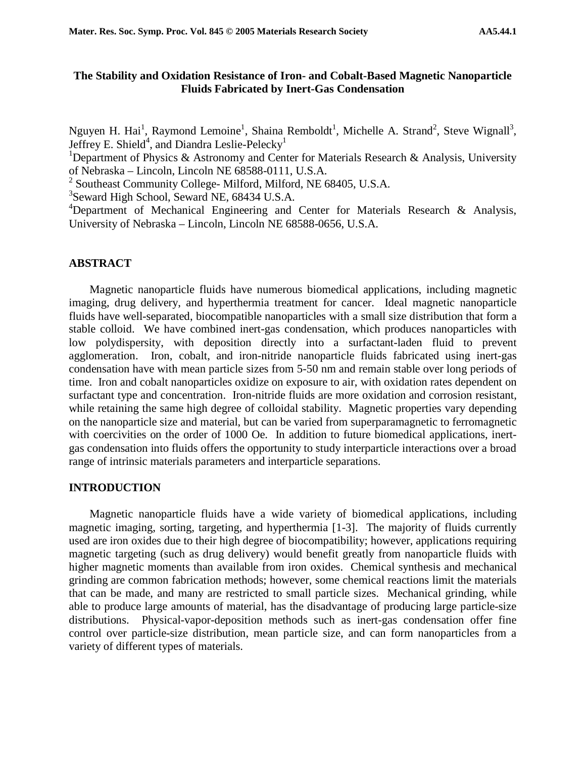### **The Stability and Oxidation Resistance of Iron- and Cobalt-Based Magnetic Nanoparticle Fluids Fabricated by Inert-Gas Condensation**

Nguyen H. Hai<sup>1</sup>, Raymond Lemoine<sup>1</sup>, Shaina Remboldt<sup>1</sup>, Michelle A. Strand<sup>2</sup>, Steve Wignall<sup>3</sup>, Jeffrey E. Shield<sup>4</sup>, and Diandra Leslie-Pelecky<sup>1</sup>

<sup>1</sup>Department of Physics & Astronomy and Center for Materials Research & Analysis, University of Nebraska – Lincoln, Lincoln NE 68588-0111, U.S.A.

<sup>2</sup> Southeast Community College-Milford, Milford, NE 68405, U.S.A.

3 Seward High School, Seward NE, 68434 U.S.A.

<sup>4</sup>Department of Mechanical Engineering and Center for Materials Research & Analysis, University of Nebraska – Lincoln, Lincoln NE 68588-0656, U.S.A.

#### **ABSTRACT**

Magnetic nanoparticle fluids have numerous biomedical applications, including magnetic imaging, drug delivery, and hyperthermia treatment for cancer. Ideal magnetic nanoparticle fluids have well-separated, biocompatible nanoparticles with a small size distribution that form a stable colloid. We have combined inert-gas condensation, which produces nanoparticles with low polydispersity, with deposition directly into a surfactant-laden fluid to prevent agglomeration. Iron, cobalt, and iron-nitride nanoparticle fluids fabricated using inert-gas condensation have with mean particle sizes from 5-50 nm and remain stable over long periods of time. Iron and cobalt nanoparticles oxidize on exposure to air, with oxidation rates dependent on surfactant type and concentration. Iron-nitride fluids are more oxidation and corrosion resistant, while retaining the same high degree of colloidal stability. Magnetic properties vary depending on the nanoparticle size and material, but can be varied from superparamagnetic to ferromagnetic with coercivities on the order of 1000 Oe. In addition to future biomedical applications, inertgas condensation into fluids offers the opportunity to study interparticle interactions over a broad range of intrinsic materials parameters and interparticle separations.

#### **INTRODUCTION**

Magnetic nanoparticle fluids have a wide variety of biomedical applications, including magnetic imaging, sorting, targeting, and hyperthermia [1-3]. The majority of fluids currently used are iron oxides due to their high degree of biocompatibility; however, applications requiring magnetic targeting (such as drug delivery) would benefit greatly from nanoparticle fluids with higher magnetic moments than available from iron oxides. Chemical synthesis and mechanical grinding are common fabrication methods; however, some chemical reactions limit the materials that can be made, and many are restricted to small particle sizes. Mechanical grinding, while able to produce large amounts of material, has the disadvantage of producing large particle-size distributions. Physical-vapor-deposition methods such as inert-gas condensation offer fine control over particle-size distribution, mean particle size, and can form nanoparticles from a variety of different types of materials.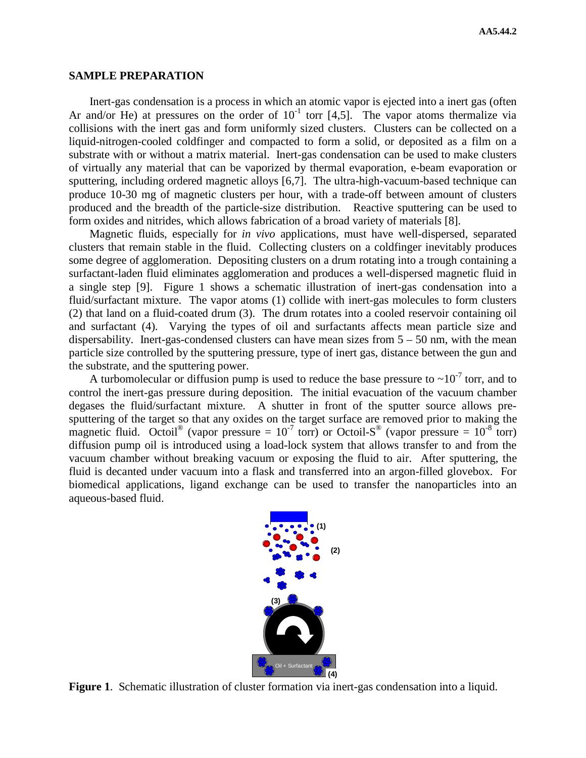#### **SAMPLE PREPARATION**

Inert-gas condensation is a process in which an atomic vapor is ejected into a inert gas (often Ar and/or He) at pressures on the order of  $10^{-1}$  torr [4,5]. The vapor atoms thermalize via collisions with the inert gas and form uniformly sized clusters. Clusters can be collected on a liquid-nitrogen-cooled coldfinger and compacted to form a solid, or deposited as a film on a substrate with or without a matrix material. Inert-gas condensation can be used to make clusters of virtually any material that can be vaporized by thermal evaporation, e-beam evaporation or sputtering, including ordered magnetic alloys [6,7]. The ultra-high-vacuum-based technique can produce 10-30 mg of magnetic clusters per hour, with a trade-off between amount of clusters produced and the breadth of the particle-size distribution. Reactive sputtering can be used to form oxides and nitrides, which allows fabrication of a broad variety of materials [8].

Magnetic fluids, especially for *in vivo* applications, must have well-dispersed, separated clusters that remain stable in the fluid. Collecting clusters on a coldfinger inevitably produces some degree of agglomeration. Depositing clusters on a drum rotating into a trough containing a surfactant-laden fluid eliminates agglomeration and produces a well-dispersed magnetic fluid in a single step [9]. Figure 1 shows a schematic illustration of inert-gas condensation into a fluid/surfactant mixture. The vapor atoms (1) collide with inert-gas molecules to form clusters (2) that land on a fluid-coated drum (3). The drum rotates into a cooled reservoir containing oil and surfactant (4). Varying the types of oil and surfactants affects mean particle size and dispersability. Inert-gas-condensed clusters can have mean sizes from  $5 - 50$  nm, with the mean particle size controlled by the sputtering pressure, type of inert gas, distance between the gun and the substrate, and the sputtering power.

A turbomolecular or diffusion pump is used to reduce the base pressure to  $\sim 10^{-7}$  torr, and to control the inert-gas pressure during deposition. The initial evacuation of the vacuum chamber degases the fluid/surfactant mixture. A shutter in front of the sputter source allows presputtering of the target so that any oxides on the target surface are removed prior to making the magnetic fluid. Octoil<sup>®</sup> (vapor pressure =  $10^{-7}$  torr) or Octoil-S<sup>®</sup> (vapor pressure =  $10^{-8}$  torr) diffusion pump oil is introduced using a load-lock system that allows transfer to and from the vacuum chamber without breaking vacuum or exposing the fluid to air. After sputtering, the fluid is decanted under vacuum into a flask and transferred into an argon-filled glovebox. For biomedical applications, ligand exchange can be used to transfer the nanoparticles into an aqueous-based fluid.



**Figure 1**. Schematic illustration of cluster formation via inert-gas condensation into a liquid.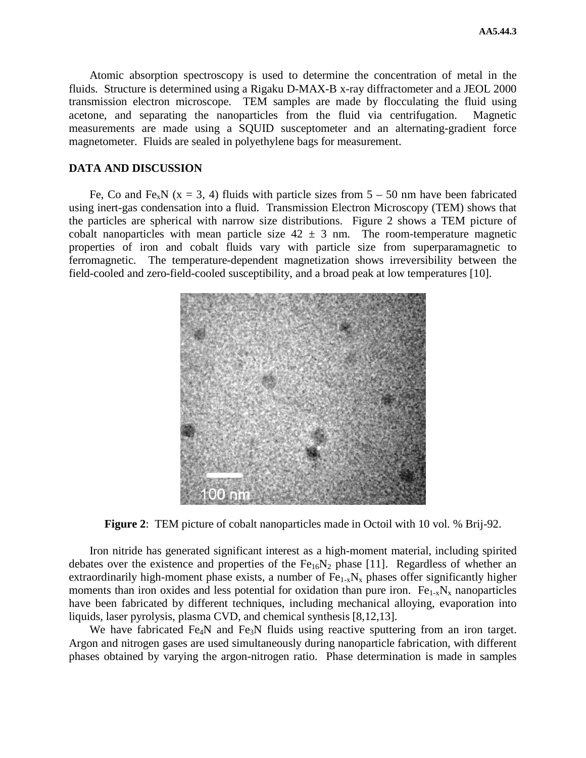Atomic absorption spectroscopy is used to determine the concentration of metal in the fluids. Structure is determined using a Rigaku D-MAX-B x-ray diffractometer and a JEOL 2000 transmission electron microscope. TEM samples are made by flocculating the fluid using acetone, and separating the nanoparticles from the fluid via centrifugation. Magnetic measurements are made using a SQUID susceptometer and an alternating-gradient force magnetometer. Fluids are sealed in polyethylene bags for measurement.

#### **DATA AND DISCUSSION**

Fe, Co and Fe<sub>x</sub>N (x = 3, 4) fluids with particle sizes from  $5 - 50$  nm have been fabricated using inert-gas condensation into a fluid. Transmission Electron Microscopy (TEM) shows that the particles are spherical with narrow size distributions. Figure 2 shows a TEM picture of cobalt nanoparticles with mean particle size  $42 \pm 3$  nm. The room-temperature magnetic properties of iron and cobalt fluids vary with particle size from superparamagnetic to ferromagnetic. The temperature-dependent magnetization shows irreversibility between the field-cooled and zero-field-cooled susceptibility, and a broad peak at low temperatures [10].



**Figure 2**: TEM picture of cobalt nanoparticles made in Octoil with 10 vol. % Brij-92.

Iron nitride has generated significant interest as a high-moment material, including spirited debates over the existence and properties of the  $Fe<sub>16</sub>N<sub>2</sub>$  phase [11]. Regardless of whether an extraordinarily high-moment phase exists, a number of  $Fe_{1-x}N_x$  phases offer significantly higher moments than iron oxides and less potential for oxidation than pure iron.  $Fe_{1-x}N_x$  nanoparticles have been fabricated by different techniques, including mechanical alloying, evaporation into liquids, laser pyrolysis, plasma CVD, and chemical synthesis [8,12,13].

We have fabricated Fe<sub>4</sub>N and Fe<sub>3</sub>N fluids using reactive sputtering from an iron target. Argon and nitrogen gases are used simultaneously during nanoparticle fabrication, with different phases obtained by varying the argon-nitrogen ratio. Phase determination is made in samples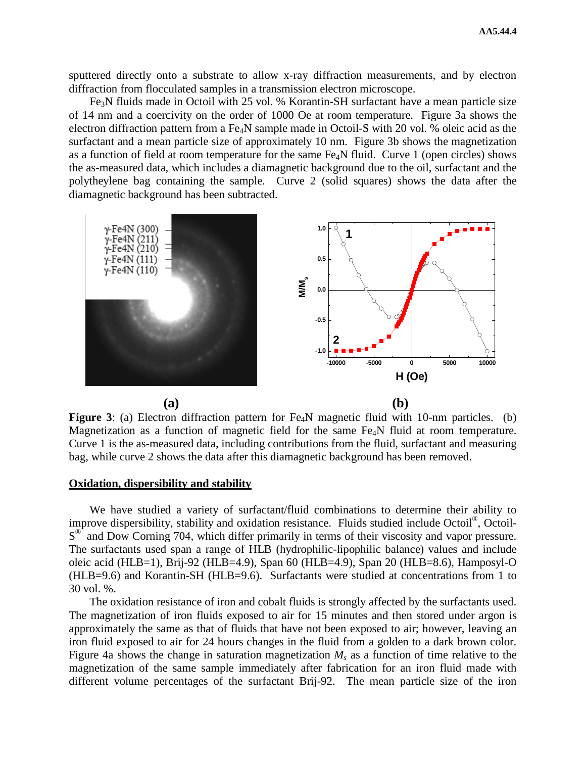sputtered directly onto a substrate to allow x-ray diffraction measurements, and by electron diffraction from flocculated samples in a transmission electron microscope.

Fe3N fluids made in Octoil with 25 vol. % Korantin-SH surfactant have a mean particle size of 14 nm and a coercivity on the order of 1000 Oe at room temperature. Figure 3a shows the electron diffraction pattern from a Fe4N sample made in Octoil-S with 20 vol. % oleic acid as the surfactant and a mean particle size of approximately 10 nm. Figure 3b shows the magnetization as a function of field at room temperature for the same Fe4N fluid. Curve 1 (open circles) shows the as-measured data, which includes a diamagnetic background due to the oil, surfactant and the polytheylene bag containing the sample. Curve 2 (solid squares) shows the data after the diamagnetic background has been subtracted.



**Figure 3**: (a) Electron diffraction pattern for Fe<sub>4</sub>N magnetic fluid with 10-nm particles. (b) Magnetization as a function of magnetic field for the same Fe<sub>4</sub>N fluid at room temperature. Curve 1 is the as-measured data, including contributions from the fluid, surfactant and measuring bag, while curve 2 shows the data after this diamagnetic background has been removed.

#### **Oxidation, dispersibility and stability**

We have studied a variety of surfactant/fluid combinations to determine their ability to improve dispersibility, stability and oxidation resistance. Fluids studied include Octoil<sup>®</sup>, Octoil- $S^{\otimes}$  and Dow Corning 704, which differ primarily in terms of their viscosity and vapor pressure. The surfactants used span a range of HLB (hydrophilic-lipophilic balance) values and include oleic acid (HLB=1), Brij-92 (HLB=4.9), Span 60 (HLB=4.9), Span 20 (HLB=8.6), Hamposyl-O (HLB=9.6) and Korantin-SH (HLB=9.6). Surfactants were studied at concentrations from 1 to 30 vol. %.

The oxidation resistance of iron and cobalt fluids is strongly affected by the surfactants used. The magnetization of iron fluids exposed to air for 15 minutes and then stored under argon is approximately the same as that of fluids that have not been exposed to air; however, leaving an iron fluid exposed to air for 24 hours changes in the fluid from a golden to a dark brown color. Figure 4a shows the change in saturation magnetization  $M_s$  as a function of time relative to the magnetization of the same sample immediately after fabrication for an iron fluid made with different volume percentages of the surfactant Brij-92. The mean particle size of the iron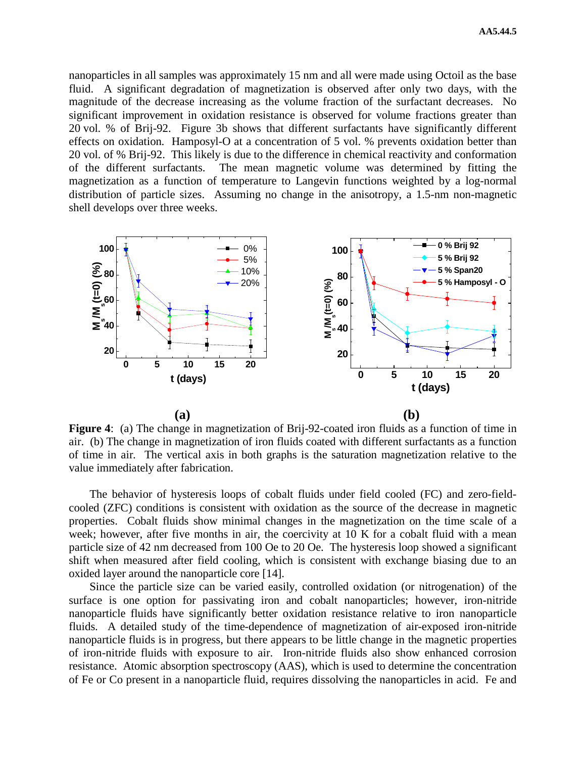nanoparticles in all samples was approximately 15 nm and all were made using Octoil as the base fluid. A significant degradation of magnetization is observed after only two days, with the magnitude of the decrease increasing as the volume fraction of the surfactant decreases. No significant improvement in oxidation resistance is observed for volume fractions greater than 20 vol. % of Brij-92. Figure 3b shows that different surfactants have significantly different effects on oxidation. Hamposyl-O at a concentration of 5 vol. % prevents oxidation better than 20 vol. of % Brij-92. This likely is due to the difference in chemical reactivity and conformation of the different surfactants. The mean magnetic volume was determined by fitting the magnetization as a function of temperature to Langevin functions weighted by a log-normal distribution of particle sizes. Assuming no change in the anisotropy, a 1.5-nm non-magnetic shell develops over three weeks.



**Figure 4**: (a) The change in magnetization of Brij-92-coated iron fluids as a function of time in air. (b) The change in magnetization of iron fluids coated with different surfactants as a function of time in air. The vertical axis in both graphs is the saturation magnetization relative to the value immediately after fabrication.

The behavior of hysteresis loops of cobalt fluids under field cooled (FC) and zero-fieldcooled (ZFC) conditions is consistent with oxidation as the source of the decrease in magnetic properties. Cobalt fluids show minimal changes in the magnetization on the time scale of a week; however, after five months in air, the coercivity at 10 K for a cobalt fluid with a mean particle size of 42 nm decreased from 100 Oe to 20 Oe. The hysteresis loop showed a significant shift when measured after field cooling, which is consistent with exchange biasing due to an oxided layer around the nanoparticle core [14].

Since the particle size can be varied easily, controlled oxidation (or nitrogenation) of the surface is one option for passivating iron and cobalt nanoparticles; however, iron-nitride nanoparticle fluids have significantly better oxidation resistance relative to iron nanoparticle fluids. A detailed study of the time-dependence of magnetization of air-exposed iron-nitride nanoparticle fluids is in progress, but there appears to be little change in the magnetic properties of iron-nitride fluids with exposure to air. Iron-nitride fluids also show enhanced corrosion resistance. Atomic absorption spectroscopy (AAS), which is used to determine the concentration of Fe or Co present in a nanoparticle fluid, requires dissolving the nanoparticles in acid. Fe and